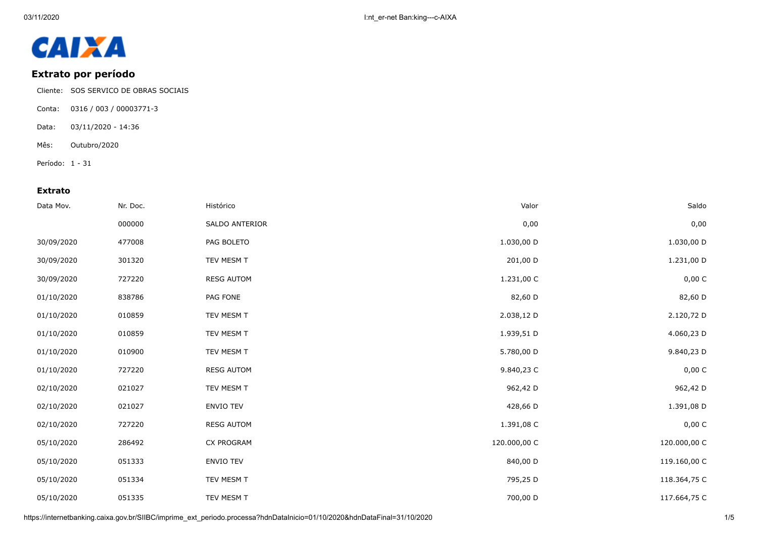

## **Extrato por período**

- Cliente: SOS SERVICO DE OBRAS SOCIAIS
- Conta: 0316 / 003 / 00003771-3
- Data: 03/11/2020 14:36
- Mês: Outubro/2020
- Período: 1 31

## **Extrato**

| Data Mov.  | Nr. Doc. | Histórico         | Valor        | Saldo        |
|------------|----------|-------------------|--------------|--------------|
|            | 000000   | SALDO ANTERIOR    | 0,00         | 0,00         |
| 30/09/2020 | 477008   | PAG BOLETO        | 1.030,00 D   | 1.030,00 D   |
| 30/09/2020 | 301320   | TEV MESM T        | 201,00 D     | 1.231,00 D   |
| 30/09/2020 | 727220   | <b>RESG AUTOM</b> | 1.231,00 C   | 0,00 C       |
| 01/10/2020 | 838786   | PAG FONE          | 82,60 D      | 82,60 D      |
| 01/10/2020 | 010859   | TEV MESM T        | 2.038,12 D   | 2.120,72 D   |
| 01/10/2020 | 010859   | TEV MESM T        | 1.939,51 D   | 4.060,23 D   |
| 01/10/2020 | 010900   | TEV MESM T        | 5.780,00 D   | 9.840,23 D   |
| 01/10/2020 | 727220   | <b>RESG AUTOM</b> | 9.840,23 C   | 0,00 C       |
| 02/10/2020 | 021027   | TEV MESM T        | 962,42 D     | 962,42 D     |
| 02/10/2020 | 021027   | <b>ENVIO TEV</b>  | 428,66 D     | 1.391,08 D   |
| 02/10/2020 | 727220   | <b>RESG AUTOM</b> | 1.391,08 C   | 0,00 C       |
| 05/10/2020 | 286492   | <b>CX PROGRAM</b> | 120.000,00 C | 120.000,00 C |
| 05/10/2020 | 051333   | <b>ENVIO TEV</b>  | 840,00 D     | 119.160,00 C |
| 05/10/2020 | 051334   | TEV MESM T        | 795,25 D     | 118.364,75 C |
| 05/10/2020 | 051335   | TEV MESM T        | 700,00 D     | 117.664,75 C |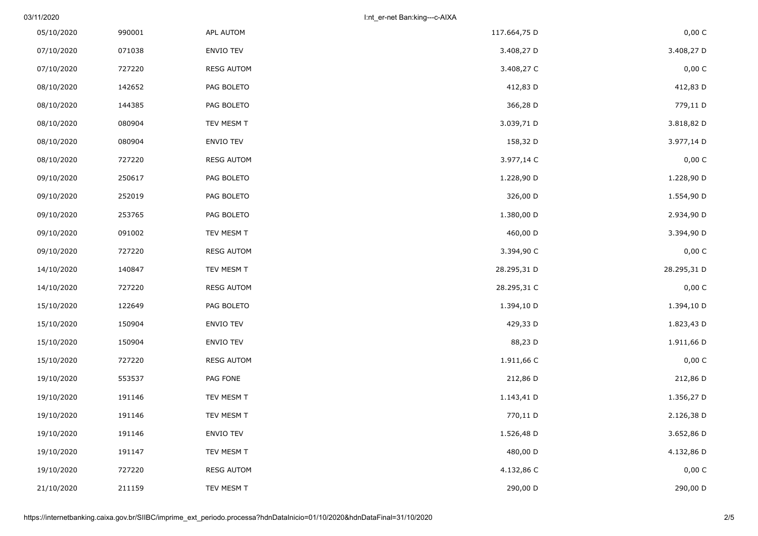03/11/2020 I:nt\_er-net Ban:king---c-AIXA

| 0,00 C      | 117.664,75 D | APL AUTOM         | 990001 | 05/10/2020 |
|-------------|--------------|-------------------|--------|------------|
| 3.408,27 D  | 3.408,27 D   | ENVIO TEV         | 071038 | 07/10/2020 |
| 0,00 C      | 3.408,27 C   | <b>RESG AUTOM</b> | 727220 | 07/10/2020 |
| 412,83 D    | 412,83 D     | PAG BOLETO        | 142652 | 08/10/2020 |
| 779,11 D    | 366,28 D     | PAG BOLETO        | 144385 | 08/10/2020 |
| 3.818,82 D  | 3.039,71 D   | TEV MESM T        | 080904 | 08/10/2020 |
| 3.977,14 D  | 158,32 D     | ENVIO TEV         | 080904 | 08/10/2020 |
| 0,00 C      | 3.977,14 C   | <b>RESG AUTOM</b> | 727220 | 08/10/2020 |
| 1.228,90 D  | 1.228,90 D   | PAG BOLETO        | 250617 | 09/10/2020 |
| 1.554,90 D  | 326,00 D     | PAG BOLETO        | 252019 | 09/10/2020 |
| 2.934,90 D  | 1.380,00 D   | PAG BOLETO        | 253765 | 09/10/2020 |
| 3.394,90 D  | 460,00 D     | TEV MESM T        | 091002 | 09/10/2020 |
| 0,00 C      | 3.394,90 C   | <b>RESG AUTOM</b> | 727220 | 09/10/2020 |
| 28.295,31 D | 28.295,31 D  | TEV MESM T        | 140847 | 14/10/2020 |
| 0,00 C      | 28.295,31 C  | <b>RESG AUTOM</b> | 727220 | 14/10/2020 |
| 1.394,10 D  | 1.394,10 D   | PAG BOLETO        | 122649 | 15/10/2020 |
| 1.823,43 D  | 429,33 D     | ENVIO TEV         | 150904 | 15/10/2020 |
| 1.911,66 D  | 88,23 D      | ENVIO TEV         | 150904 | 15/10/2020 |
| 0,00 C      | 1.911,66 C   | <b>RESG AUTOM</b> | 727220 | 15/10/2020 |
| 212,86 D    | 212,86 D     | PAG FONE          | 553537 | 19/10/2020 |
| 1.356,27 D  | 1.143,41 D   | TEV MESM T        | 191146 | 19/10/2020 |
| 2.126,38 D  | 770,11 D     | TEV MESM T        | 191146 | 19/10/2020 |
| 3.652,86 D  | 1.526,48 D   | ENVIO TEV         | 191146 | 19/10/2020 |
| 4.132,86 D  | 480,00 D     | TEV MESM T        | 191147 | 19/10/2020 |
| 0,00 C      | 4.132,86 C   | <b>RESG AUTOM</b> | 727220 | 19/10/2020 |
| 290,00 D    | 290,00 D     | TEV MESM T        | 211159 | 21/10/2020 |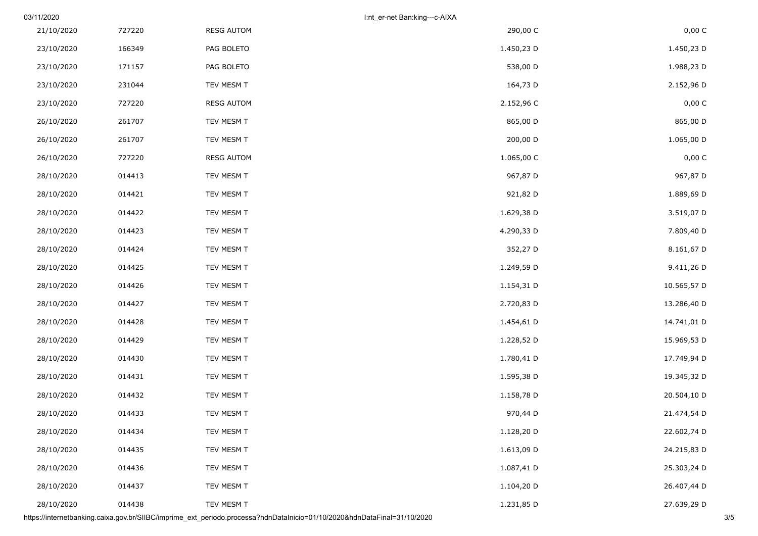|             | I:nt_er-net Ban:king---c-AIXA |                   |        | 03/11/2020 |
|-------------|-------------------------------|-------------------|--------|------------|
| 0,00 C      | 290,00 C                      | <b>RESG AUTOM</b> | 727220 | 21/10/2020 |
| 1.450,23 D  | 1.450,23 D                    | PAG BOLETO        | 166349 | 23/10/2020 |
| 1.988,23 D  | 538,00 D                      | PAG BOLETO        | 171157 | 23/10/2020 |
| 2.152,96 D  | 164,73 D                      | TEV MESM T        | 231044 | 23/10/2020 |
| 0,00 C      | 2.152,96 C                    | <b>RESG AUTOM</b> | 727220 | 23/10/2020 |
| 865,00 D    | 865,00 D                      | TEV MESM T        | 261707 | 26/10/2020 |
| 1.065,00 D  | 200,00 D                      | TEV MESM T        | 261707 | 26/10/2020 |
| 0,00 C      | 1.065,00 C                    | <b>RESG AUTOM</b> | 727220 | 26/10/2020 |
| 967,87 D    | 967,87 D                      | TEV MESM T        | 014413 | 28/10/2020 |
| 1.889,69 D  | 921,82 D                      | TEV MESM T        | 014421 | 28/10/2020 |
| 3.519,07 D  | 1.629,38 D                    | TEV MESM T        | 014422 | 28/10/2020 |
| 7.809,40 D  | 4.290,33 D                    | TEV MESM T        | 014423 | 28/10/2020 |
| 8.161,67 D  | 352,27 D                      | TEV MESM T        | 014424 | 28/10/2020 |
| 9.411,26 D  | 1.249,59 D                    | TEV MESM T        | 014425 | 28/10/2020 |
| 10.565,57 D | 1.154,31 D                    | TEV MESM T        | 014426 | 28/10/2020 |
| 13.286,40 D | 2.720,83 D                    | TEV MESM T        | 014427 | 28/10/2020 |
| 14.741,01 D | 1.454,61 D                    | TEV MESM T        | 014428 | 28/10/2020 |
| 15.969,53 D | 1.228,52 D                    | TEV MESM T        | 014429 | 28/10/2020 |
| 17.749,94 D | 1.780,41 D                    | TEV MESM T        | 014430 | 28/10/2020 |
| 19.345,32 D | 1.595,38 D                    | TEV MESM T        | 014431 | 28/10/2020 |
| 20.504,10 D | 1.158,78 D                    | TEV MESM T        | 014432 | 28/10/2020 |
| 21.474,54 D | 970,44 D                      | TEV MESM T        | 014433 | 28/10/2020 |
| 22.602,74 D | 1.128,20 D                    | TEV MESM T        | 014434 | 28/10/2020 |
| 24.215,83 D | 1.613,09 D                    | TEV MESM T        | 014435 | 28/10/2020 |
| 25.303,24 D | 1.087,41 D                    | TEV MESM T        | 014436 | 28/10/2020 |
| 26.407,44 D | 1.104,20 D                    | TEV MESM T        | 014437 | 28/10/2020 |
| 27.639,29 D | 1.231,85 D                    | TEV MESM T        | 014438 | 28/10/2020 |

https://internetbanking.caixa.gov.br/SIIBC/imprime\_ext\_periodo.processa?hdnDataInicio=01/10/2020&hdnDataFinal=31/10/2020 3/5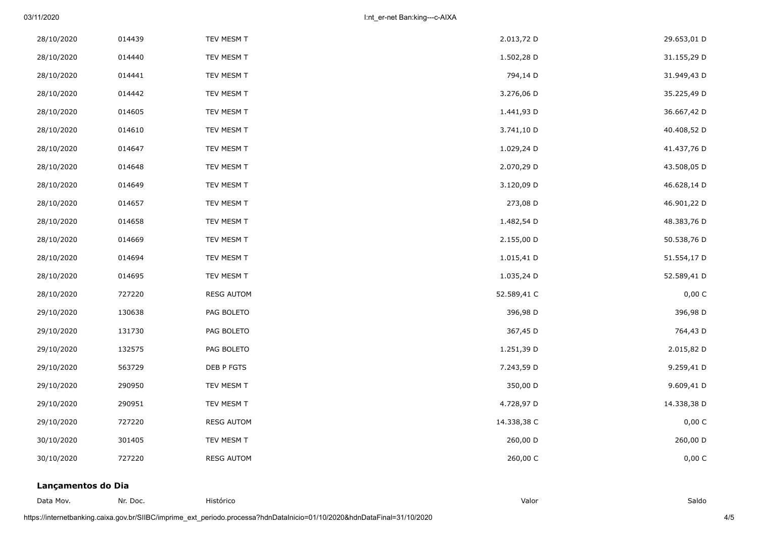03/11/2020 I:nt\_er-net Ban:king---c-AIXA

| 28/10/2020 | 014439 | TEV MESM T        | 2.013,72 D  | 29.653,01 D |
|------------|--------|-------------------|-------------|-------------|
| 28/10/2020 | 014440 | TEV MESM T        | 1.502,28 D  | 31.155,29 D |
| 28/10/2020 | 014441 | TEV MESM T        | 794,14 D    | 31.949,43 D |
| 28/10/2020 | 014442 | TEV MESM T        | 3.276,06 D  | 35.225,49 D |
| 28/10/2020 | 014605 | TEV MESM T        | 1.441,93 D  | 36.667,42 D |
| 28/10/2020 | 014610 | TEV MESM T        | 3.741,10 D  | 40.408,52 D |
| 28/10/2020 | 014647 | TEV MESM T        | 1.029,24 D  | 41.437,76 D |
| 28/10/2020 | 014648 | TEV MESM T        | 2.070,29 D  | 43.508,05 D |
| 28/10/2020 | 014649 | TEV MESM T        | 3.120,09 D  | 46.628,14 D |
| 28/10/2020 | 014657 | TEV MESM T        | 273,08 D    | 46.901,22 D |
| 28/10/2020 | 014658 | TEV MESM T        | 1.482,54 D  | 48.383,76 D |
| 28/10/2020 | 014669 | TEV MESM T        | 2.155,00 D  | 50.538,76 D |
| 28/10/2020 | 014694 | TEV MESM T        | 1.015,41 D  | 51.554,17 D |
| 28/10/2020 | 014695 | TEV MESM T        | 1.035,24 D  | 52.589,41 D |
| 28/10/2020 | 727220 | <b>RESG AUTOM</b> | 52.589,41 C | 0,00 C      |
| 29/10/2020 | 130638 | PAG BOLETO        | 396,98 D    | 396,98 D    |
| 29/10/2020 | 131730 | PAG BOLETO        | 367,45 D    | 764,43 D    |
| 29/10/2020 | 132575 | PAG BOLETO        | 1.251,39 D  | 2.015,82 D  |
| 29/10/2020 | 563729 | DEB P FGTS        | 7.243,59 D  | 9.259,41 D  |
| 29/10/2020 | 290950 | TEV MESM T        | 350,00 D    | 9.609,41 D  |
| 29/10/2020 | 290951 | TEV MESM T        | 4.728,97 D  | 14.338,38 D |
| 29/10/2020 | 727220 | <b>RESG AUTOM</b> | 14.338,38 C | 0,00 C      |
| 30/10/2020 | 301405 | TEV MESM T        | 260,00 D    | 260,00 D    |
| 30/10/2020 | 727220 | <b>RESG AUTOM</b> | 260,00 C    | 0,00 C      |

## **Lançamentos do Dia**

Data Mov. Nr. Doc. Histórico Valor Saldo